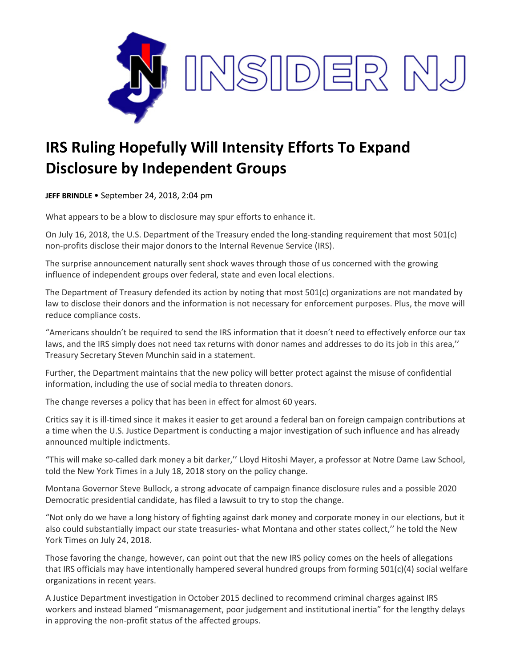

## **IRS Ruling Hopefully Will Intensity Efforts To Expand Disclosure by Independent Groups**

**JEFF BRINDLE** • September 24, 2018, 2:04 pm

What appears to be a blow to disclosure may spur efforts to enhance it.

On July 16, 2018, the U.S. Department of the Treasury ended the long-standing requirement that most 501(c) non-profits disclose their major donors to the Internal Revenue Service (IRS).

The surprise announcement naturally sent shock waves through those of us concerned with the growing influence of independent groups over federal, state and even local elections.

The Department of Treasury defended its action by noting that most 501(c) organizations are not mandated by law to disclose their donors and the information is not necessary for enforcement purposes. Plus, the move will reduce compliance costs.

"Americans shouldn't be required to send the IRS information that it doesn't need to effectively enforce our tax laws, and the IRS simply does not need tax returns with donor names and addresses to do its job in this area,'' Treasury Secretary Steven Munchin said in a statement.

Further, the Department maintains that the new policy will better protect against the misuse of confidential information, including the use of social media to threaten donors.

The change reverses a policy that has been in effect for almost 60 years.

Critics say it is ill-timed since it makes it easier to get around a federal ban on foreign campaign contributions at a time when the U.S. Justice Department is conducting a major investigation of such influence and has already announced multiple indictments.

"This will make so-called dark money a bit darker,'' Lloyd Hitoshi Mayer, a professor at Notre Dame Law School, told the New York Times in a July 18, 2018 story on the policy change.

Montana Governor Steve Bullock, a strong advocate of campaign finance disclosure rules and a possible 2020 Democratic presidential candidate, has filed a lawsuit to try to stop the change.

"Not only do we have a long history of fighting against dark money and corporate money in our elections, but it also could substantially impact our state treasuries- what Montana and other states collect,'' he told the New York Times on July 24, 2018.

Those favoring the change, however, can point out that the new IRS policy comes on the heels of allegations that IRS officials may have intentionally hampered several hundred groups from forming 501(c)(4) social welfare organizations in recent years.

A Justice Department investigation in October 2015 declined to recommend criminal charges against IRS workers and instead blamed "mismanagement, poor judgement and institutional inertia" for the lengthy delays in approving the non-profit status of the affected groups.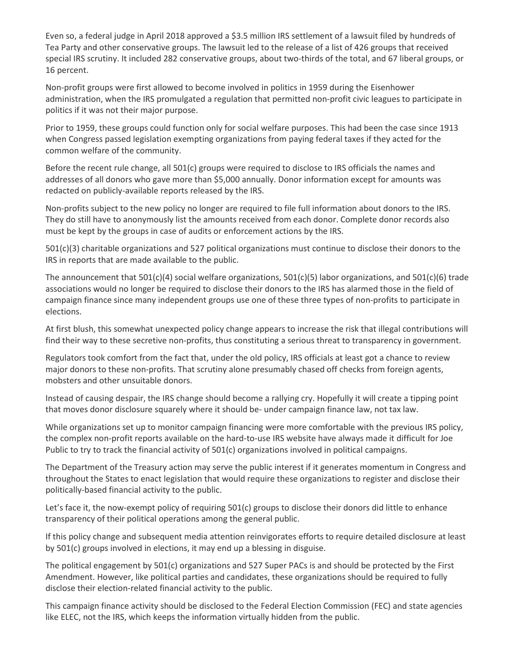Even so, a federal judge in April 2018 approved a \$3.5 million IRS settlement of a lawsuit filed by hundreds of Tea Party and other conservative groups. The lawsuit led to the release of a list of 426 groups that received special IRS scrutiny. It included 282 conservative groups, about two-thirds of the total, and 67 liberal groups, or 16 percent.

Non-profit groups were first allowed to become involved in politics in 1959 during the Eisenhower administration, when the IRS promulgated a regulation that permitted non-profit civic leagues to participate in politics if it was not their major purpose.

Prior to 1959, these groups could function only for social welfare purposes. This had been the case since 1913 when Congress passed legislation exempting organizations from paying federal taxes if they acted for the common welfare of the community.

Before the recent rule change, all 501(c) groups were required to disclose to IRS officials the names and addresses of all donors who gave more than \$5,000 annually. Donor information except for amounts was redacted on publicly-available reports released by the IRS.

Non-profits subject to the new policy no longer are required to file full information about donors to the IRS. They do still have to anonymously list the amounts received from each donor. Complete donor records also must be kept by the groups in case of audits or enforcement actions by the IRS.

501(c)(3) charitable organizations and 527 political organizations must continue to disclose their donors to the IRS in reports that are made available to the public.

The announcement that  $501(c)(4)$  social welfare organizations,  $501(c)(5)$  labor organizations, and  $501(c)(6)$  trade associations would no longer be required to disclose their donors to the IRS has alarmed those in the field of campaign finance since many independent groups use one of these three types of non-profits to participate in elections.

At first blush, this somewhat unexpected policy change appears to increase the risk that illegal contributions will find their way to these secretive non-profits, thus constituting a serious threat to transparency in government.

Regulators took comfort from the fact that, under the old policy, IRS officials at least got a chance to review major donors to these non-profits. That scrutiny alone presumably chased off checks from foreign agents, mobsters and other unsuitable donors.

Instead of causing despair, the IRS change should become a rallying cry. Hopefully it will create a tipping point that moves donor disclosure squarely where it should be- under campaign finance law, not tax law.

While organizations set up to monitor campaign financing were more comfortable with the previous IRS policy, the complex non-profit reports available on the hard-to-use IRS website have always made it difficult for Joe Public to try to track the financial activity of 501(c) organizations involved in political campaigns.

The Department of the Treasury action may serve the public interest if it generates momentum in Congress and throughout the States to enact legislation that would require these organizations to register and disclose their politically-based financial activity to the public.

Let's face it, the now-exempt policy of requiring 501(c) groups to disclose their donors did little to enhance transparency of their political operations among the general public.

If this policy change and subsequent media attention reinvigorates efforts to require detailed disclosure at least by 501(c) groups involved in elections, it may end up a blessing in disguise.

The political engagement by 501(c) organizations and 527 Super PACs is and should be protected by the First Amendment. However, like political parties and candidates, these organizations should be required to fully disclose their election-related financial activity to the public.

This campaign finance activity should be disclosed to the Federal Election Commission (FEC) and state agencies like ELEC, not the IRS, which keeps the information virtually hidden from the public.